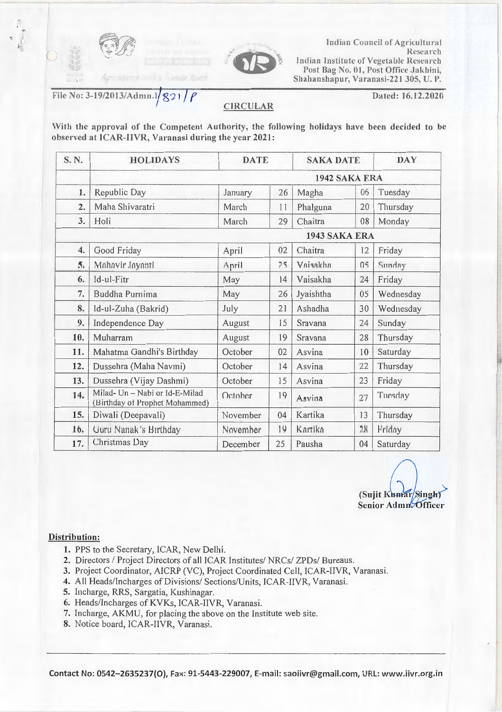

<sup>~</sup>I j

 $($ 



Indian Council of Agricultural Research Indian Institute of Vegetable Research Post Bag No. 01, Post Office Jakhini, Shahanshapur, Varanasi-221 305, U.P.

File No: 3-19/2013/Admn.I/221/ $\rho$ 

rch poin a haman fouch

Dated: 16.12.2020

## **CIRCULAR**

With the approval of the Competent Authority, the following holidays have been decided to be observed at ICAR-IIVR, Varanasi during the year 2021:

| S. N.          | <b>HOLIDAYS</b>                                                  | <b>DATE</b>   |    | <b>SAKA DATE</b> |    | <b>DAY</b> |  |  |  |
|----------------|------------------------------------------------------------------|---------------|----|------------------|----|------------|--|--|--|
|                | 1942 SAKA ERA                                                    |               |    |                  |    |            |  |  |  |
| 1.             | Republic Day                                                     | January       | 26 | Magha            | 06 | Tuesday    |  |  |  |
| 2.             | Maha Shivaratri                                                  | March         | 11 | Phalguna         | 20 | Thursday   |  |  |  |
| 3.             | Holi                                                             | March         | 29 | Chaitra          | 08 | Monday     |  |  |  |
|                |                                                                  | 1943 SAKA ERA |    |                  |    |            |  |  |  |
| 4.             | Good Friday                                                      | April         | 02 | Chaitra          | 12 | Friday     |  |  |  |
| $\overline{5}$ | Mahavir Jayanti                                                  | April         | 75 | Vaisakha         | 05 | Sunday     |  |  |  |
| 6.             | Id-ul-Fitr                                                       | May           | 14 | Vaisakha         | 24 | Friday     |  |  |  |
| 7.             | Buddha Purnima                                                   | May           | 26 | Jyaishtha        | 05 | Wednesday  |  |  |  |
| 8.             | Id-ul-Zuha (Bakrid)                                              | July          | 21 | Ashadha          | 30 | Wednesday  |  |  |  |
| 9.             | Independence Day                                                 | August        | 15 | Sravana          | 24 | Sunday     |  |  |  |
| 10.            | Muharram                                                         | August        | 19 | Sravana          | 28 | Thursday   |  |  |  |
| 11.            | Mahatma Gandhi's Birthday                                        | October       | 02 | Asvina           | 10 | Saturday   |  |  |  |
| 12.            | Dussehra (Maha Navmi)                                            | October       | 14 | Asvina           | 22 | Thursday   |  |  |  |
| 13.            | Dussehra (Vijay Dashmi)                                          | October       | 15 | Asvina           | 23 | Friday     |  |  |  |
| 14.            | Milad- Un - Nabi or Id-E-Milad<br>(Birthday of Prophet Mohammed) | October       | 19 | Asvina           | 27 | Tuesday    |  |  |  |
| 15.            | Diwali (Deepavali)                                               | November      | 04 | Kartika          | 13 | Thursday   |  |  |  |
| 16.            | Guru Nanak's Birthday                                            | November      | 14 | Kartika          | 28 | Friday     |  |  |  |
| 17.            | Christmas Day                                                    | December      | 25 | Pausha           | 04 | Saturday   |  |  |  |

 $\left(\begin{array}{cc} 0 & 0 \ 0 & 0 \end{array}\right)$ (Sujit Kumar/Singh) Senior Admn Officer

## Distribution:

- 1. PPS to the Secretary, ICAR, New Delhi.
- 2. Directors / Project Directors of all ICAR Institutes/ NRCs/ ZPDs/ Bureaus.
- 3. Project Coordinator, AICRP (VC), Project Coordinated Cell, ICAR-IIVR, Varanasi.
- 4. All Heads/Incharges of Divisions/ Sections/Units, ICAR-IIVR, Varanasi.
- 5. Incharge, RRS, Sargatia, Kushinagar.
- 6. Heads/Incharges of KYKs, ICAR-IIVR, Varanasi.
- 7. Incharge, AKMU, for placing the above on the Institute web site.
- 8. Notice board, ICAR-IIVR, Varanasi.

Contact No: 0542-2635237(0), Fax: 91-5443-229007, E-mail: saoiivr@gmail.com, URL: www.iivr.org.in